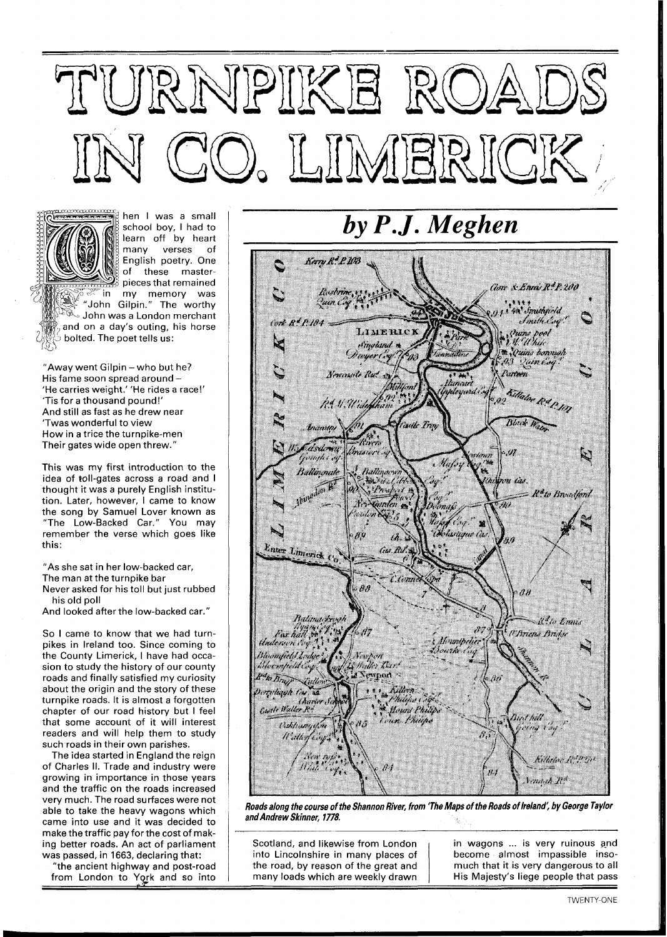## TURNPIKE ROA O, LIMERICK



hen I was a small school boy, I had to learn off by heart many verses of English poetry. One of these masterpieces that remained my memory was "John Gilpin." The worthy  $\mathbb{R}$  John was a London merchant and on a day's outing, his horse bolted. The poet tells us:

"Away went Gilpin - who but he? His fame soon spread around -'He carries weight.' 'He rides a race!' 'Tis for a thousand pound!' And still as fast as he drew near 'Twas wonderful to view How in a trice the turnpike-men Their gates wide open threw."

This was my first introduction to the idea of toll-gates across a road and I thought it was a purely English institution. Later, however, I came to know the song by Samuel Lover known as "The Low-Backed Car." You may remember the verse which goes like this:

"As she sat in her low-backed car,

The man at the turnpike bar

Never asked for his toll but just rubbed his old poll

And looked after the low-backed car."

So I came to know that we had turnpikes in Ireland too. Since coming to the County Limerick, I have had occasion to study the history of our county roads and finally satisfied my curiosity about the origin and the story of these turnpike roads. It is almost a forgotten chapter of our road history but I feel that some account of it will interest readers and will help them to study such roads in their own parishes.

The idea started in England the reign of Charles II. Trade and industry were growing in importance in those years and the traffic on the roads increased very much. The road surfaces were not able to take the heavy wagons which came into use and it was decided to make the traffic pay for the cost of making better roads. An act of parliament was passed, in 1663, declaring that:

"the ancient highway and post-road from London to York and so into by P.J. Meghen



**Roads along the course of the Shannon River, from 'The Maps of the Roads of Ireland: by George Taylor and Andrew Skinner, 1778.** 

Scotland, and likewise from London in wagons ... is very ruinous and into Lincolnshire in many places of dependence almost impassible insointo Lincolnshire in many places of the road, by reason of the great and  $\parallel$  much that it is very dangerous to all many loads which are weekly drawn | His Majesty's liege people that pass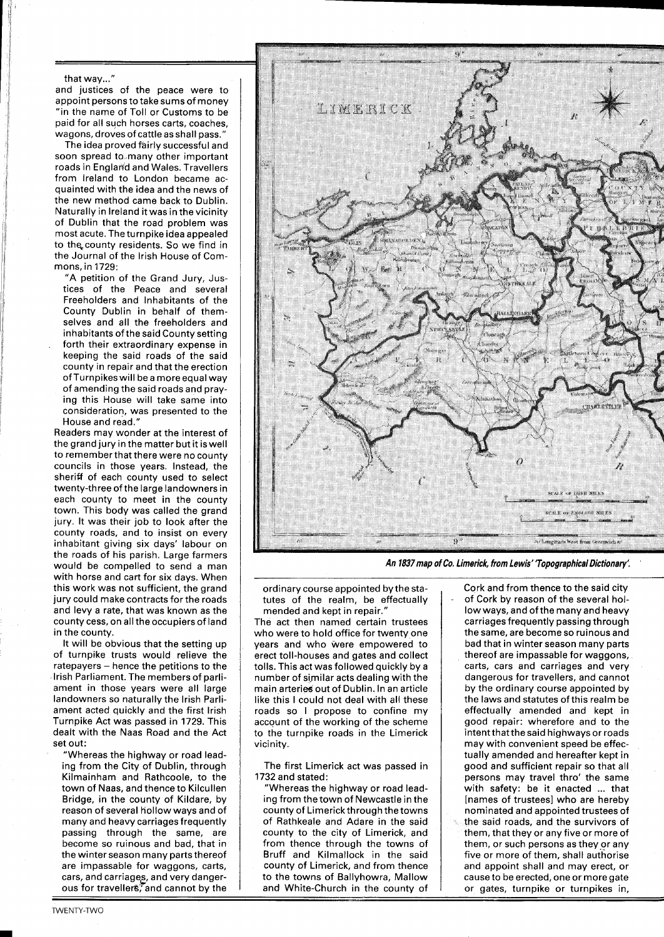## that way..."

and justices of the peace were to appoint persons to take sums of money "in the name of Toll or Customs to be paid for all such horses carts, coaches, wagons, droves of cattle as shall pass."

The idea proved fairly successful and soon spread to many other important roads in England and Wales. Travellers from Ireland to London became acquainted with the idea and the news of the new method came back to Dublin. Naturally in Ireland it was in the vicinity of Dublin that the road problem was most acute. The turnpike idea appealed to the county residents. So we find in the Journal of the lrish House of Commons, in 1729:

"A petition of the Grand Jury, Justices of the Peace and several Freeholders and Inhabitants of the County Dublin in behalf of themselves and all the freeholders and inhabitants of the said County setting forth their extraordinary expense in keeping the said roads of the said county in repair and that the erection of Turnpikeswill bea more equal way of amending the said roads and praying this House will take same into consideration, was presented to the House and read."

Readers may wonder at the interest of the grand jury in the matter but it iswell to remember that there were no county councils in those years. Instead, the sheriff of each county used to select twenty-three of the large landowners in each county to meet in the county town. This body was called the grand jury. It was their job to look after the county roads, and to insist on every inhabitant giving six days' labour on the roads of his parish. Large farmers would be compelled to send a man with horse and cart for six days. When this work was not sufficient, the grand jury could make contracts for the roads and levy a rate, that was known as the county cess, on all the occupiers of land in the county.

It will be obvious that the setting up of turnpike trusts would relieve the ratepayers - hence the petitions to the lrish Parliament. The members of parliament in those years were all large landowners so naturally the lrish Parliament acted quickly and the first lrish Turnpike Act was passed in 1729. This dealt with the Naas Road and the Act set out:

"Whereas the highway or road leading from the City of Dublin, through Kilmainham and Rathcoole, to the town of Naas, and thence to Kilcullen Bridge, in the county of Kildare, by reason of several hollow ways and of many and heavy carriages frequently passing through the same, are become so ruinous and bad, that in the winter season many parts thereof are impassable for waggons, carts, cars, and carriages, and very dangerous for travellers, and cannot by the



**An 1837map of Co. Limerick, from Lewis' 'Topographical Dictionary:** '

ordinary course appointed by the statutes of the realm, be effectually mended and kept in repair."

The act then named certain trustees who were to hold office for twenty one years and who were empowered to erect toll-houses and gates and collect tolls. This act was followed quickly by a number of similar acts dealing with the main arteries out of Dublin. In an article like this I could not deal with all these roads so I propose to confine my account of the working of the scheme to the turnpike roads in the Limerick vicinity.

The first Limerick act was passed in 1732 and stated:

"Whereas the highway or road leading from the town of Newcastle in the county of Limerick through the towns of Rathkeale and Adare in the said county to the city of Limerick, and from thence through the towns of Bruff and Kilmallock in the said county of Limerick, and from thence to the towns of Ballyhowra, Mallow and White-Church in the county of Cork and from thence to the said city of Cork by reason of the several hollow ways, and of the many and heavy carriages frequently passing through the same, are become so ruinous and bad that in winter season many parts thereof are impassable for waggons, carts, cars and carriages and very dangerous for travellers, and cannot by the ordinary course appointed by the laws and statutes of this realm be effectually amended and kept in good repair: wherefore and to the intent that the said highways or roads may with convenient speed be effectually amended and hereafter kept in good and sufficient repair so that all persons may travel thro' the same with safety: be it enacted ... that [names of trustees] who are hereby nominated and appointed trustees of the said roads, and the survivors of them, that they or any five or more of them, or such persons as they or any five or more of them, shall authorise and appoint shall and may erect, or cause to be erected, one or more gate or gates, turnpike or turnpikes in,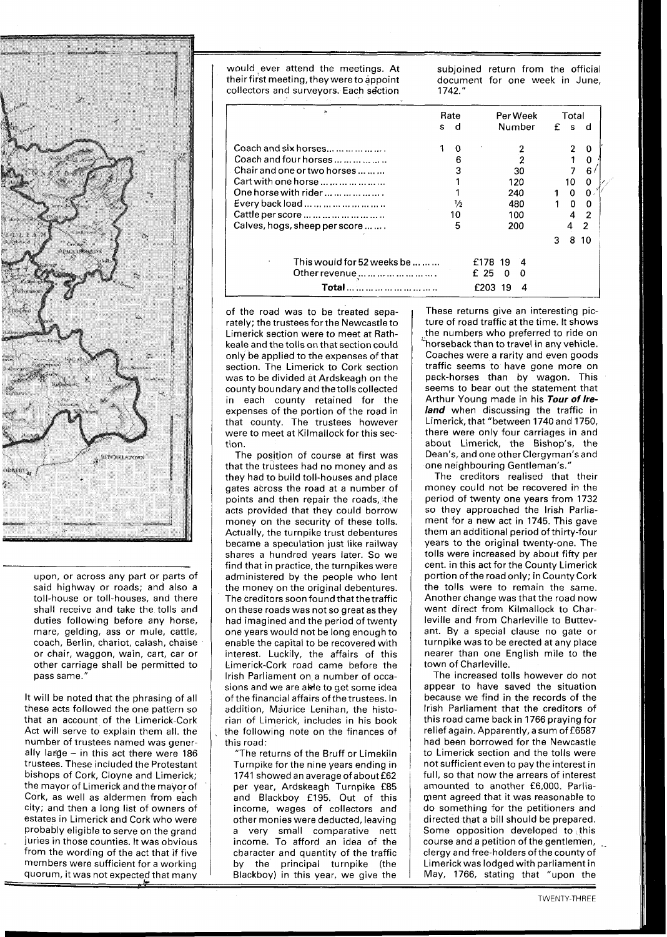

upon, or across any part or parts of said highway or roads; and also a toll-house or toll-houses, and there shall receive and take the tolls and duties following before any horse, mare, gelding, ass or mule, cattle, coach, Berlin, chariot, calash, chaise or chair, waggon, wain, cart, car or other carriage shall be permitted to pass same."

It will be noted that the phrasing of all these acts followed the one pattern so that an account of the Limerick-Cork Act will serve to explain them all. the number of trustees named was generally large  $-$  in this act there were 186 trustees. These included the Protestant bishops of Cork, Cloyne and Limerick; the mayor of Limerick and the mayor of Cork, as well as aldermen from each city; and then a long list of owners of estates in Limerick and Cork who were probably eligible to serve on the grand juries in those counties. It was obvious from the wording of the act that if five members were sufficient for a working quorum, it was not expected that manv

would ever attend the meetings. At subjoined return from the official their first meeting, they were to appoint document for one week in June, collectors and survevors. Each section 1742." collectors and surveyors. Each section

| Gk.                                            | Rate |               | Per Week       | Total |    |          |
|------------------------------------------------|------|---------------|----------------|-------|----|----------|
|                                                | s    | d             | Number         | f     | s  | d        |
| Coach and six horses                           |      | 0             |                |       | 2  | $\Omega$ |
| Coach and four horses                          |      | 6             |                |       |    |          |
| Chair and one or two horses                    |      | 3             | 30             |       | 7  | 6        |
| Cart with one horse                            |      |               | 120            |       | 10 | 0        |
| One horse with rider $\dots \dots \dots \dots$ |      |               | 240            |       | O  | 0        |
| Every back load                                |      | $\frac{1}{2}$ | 480            |       | O  | 0        |
| Cattle per score                               |      | 10            | 100            |       |    | 2        |
| Calves, hogs, sheep per score                  |      | 5             | 200            |       | 4  | 2        |
|                                                |      |               |                | 3     | 8  | 10       |
| This would for 52 weeks be $\dots \dots$       |      |               | £178<br>19     |       |    |          |
| Other revenue         .                        |      |               | £ 25<br>O<br>∩ |       |    |          |
| Total                                          |      |               | 19<br>£203     |       |    |          |

of the road was to be treated separately; the trustees forthe Newcastle to Limerick section were to meet at Rathkeale and the tolls on that section could only be applied to the expenses of that section. The Limerick to Cork section was to be divided at Ardskeagh on the county boundary and the tolls collected in each county retained for the expenses of the portion of the road in that county. The trustees however were to meet at Kilmallock for this section.

The position of course at first was that the trustees had no money and as they had to build toll-houses and place gates across the road at a number of points and then repair the roads, the acts provided that they could borrow money on the security of these tolls. Actually, the turnpike trust debentures became a speculation just like railway shares a hundred years later. So we find that in practice, the turnpikes were administered by the people who lent the money on the original debentures. The creditors soon found that the traffic on these roads was not so great as they had imagined and the period of twenty one years would not be long enough to enable the capital to be recovered with interest. Luckily, the affairs of this Limerick-Cork road came before the lrish Parliament on a number of occasions and we are able to get some idea of the financial affairs of the trustees. In addition, Maurice Lenihan, the historian of Limerick, includes in his book the following note on the finances of this road:

"The returns of the Bruff or Limekiln Turnpike forthe nine years ending in 1741 showed an average of about £62 per year, Ardskeagh Turnpike £85 and Blackboy £195. Out of this income, wages of collectors and other monies were deducted, leaving a very small comparative nett income. To afford an idea of the character and quantity of the traffic by the principal turnpike (the Blackboy) in this year, we give the

These returns give an interesting picture of road traffic at the time. It shows the numbers who preferred to ride on horseback than to travel in any vehicle. Coaches were a rarity and even goods traffic seems to have gone more on pack-horses than by wagon. This seems to bear out the statement that Arthur Young made in his **Tour of Ireland** when discussing the traffic in Limerick, that "between 1740 and 1750, there were only four carriages in and about Limerick, the Bishop's, the Dean's, and one other Clergyman's and one neighbouring Gentleman's."

The creditors realised that their money could not be recovered in the period of twenty one years from 1732 so they approached the lrish Parliament for a new act in 1745. This gave them an additional period of thirty-four years to the original twenty-one. The tolls were increased by about fifty per cent. in this act for the County Limerick portion of the road only; in County Cork the tolls were to remain the same. Another change was that the road now went direct from Kilmallock to Charleville and from Charleville to Buttevant. By a special clause no gate or turnpike was to be erected at any place nearer than one English mile to the town of Charleville.

The increased tolls however do not appear to have saved the situation because we find in the records of the lrish Parliament that the creditors of this road came back in 1766 praying for relief again. Apparently, a sum of £6587 had been borrowed for the Newcastle to Limerick section and the tolls were not sufficient even to pay the interest in full, so that now the arrears of interest amounted to another £6,000. Parliament agreed that it was reasonable to do something for the petitioners and directed that a bill should be prepared. Some opposition developed to this  $course$  and a petition of the gentlemen, clergy and free-holders of the county of Limerick was lodged with parliament in May, 1766, stating that "upon the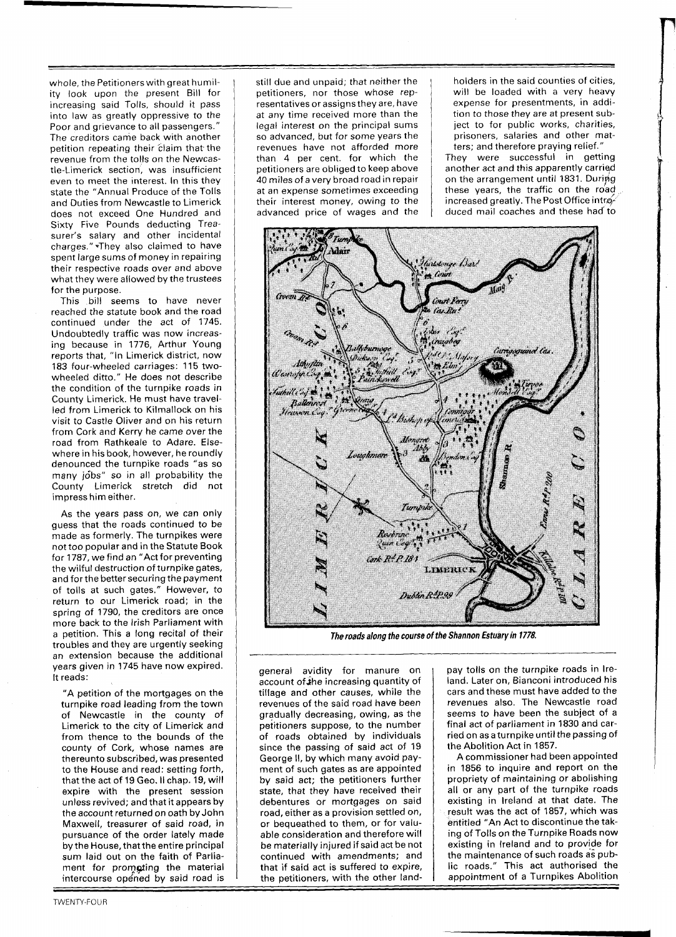whole, the Petitioners with great humility look upon the present Bill for increasing said Tolls, should it pass into law as greatly oppressive to the Poor and grievance to all passengers.' The creditors came back with another petition repeating their claim that the revenue from the tolis on the Newcastle-Limerick section, was insufficient even to meet the interest. In this they state the "Annual Produce of the Tolls and Duties from Newcastle to Limerick does not exceed One Hundred and Sixty Five Pounds deducting Treasurer's salary and other incidental charges." -They also claimed to have spent large sums of money in repairing their respective roads over and above what they were allowed by the trustees for the purpose.

This bill seems to have never reached the statute book and the road continued under the act of 1745. Undoubtedly traffic was now increasing because in 1776, Arthur Young reports that, "In Limerick district, now 183 four-wheeled carriages: 115 twowheeled ditto." He does not describe the condition of the turnpike roads in County Limerick. He must have travelled from Limerick to Kilmallock on his visit to Castle Oliver and on his return from Cork and Kerry he came over the road from Rathkeale to Adare. Elsewhere in his book, however, he roundly denounced the turnpike roads "as so many jobs" so in all probability the County Limerick stretch did not impress him either.

As the years pass on, we can only guess that the roads continued to be made as formerly. The turnpikes were not too popular and in the Statute Book for 1787, we find an "Act for preventing the wilful destruction of turnpike gates, and for the better securing the payment of tolls at such gates." However, to return to our Limerick road; in the spring of 1790, the creditors are once more back to the Irish Parliament with a petition. This a long recital of their troubles and they are urgently seeking an extension because the additional years given in 1745 have now expired. It reads:

"A petition of the mortgages on the turnpike road leading from the town of Newcastle in the county of Limerick to the city of Limerick and from thence to the bounds of the county of Cork, whose names are thereunto subscribed, was presented to the House and read: setting forth, that the act of 19 Geo. Il chap. 19, will expire with the present session unless revived; and that it appears by the account returned on oath by John Maxwell, treasurer of said road, in pursuance of the order lately made by the House, that the entire principal sum laid out on the faith of Parliament for promging the material intercourse opened by said road is

still due and unpaid; that neither the petitioners, nor those whose representatives or assignsthey are, have at any time received more than the legal interest on the principal sums so advanced, but for some years the revenues have not afforded more than 4 per cent. for which the petitioners are obliged to keep above 40 miles of a very broad road in repair at an expense sometimes exceeding their interest money, owing to the advanced price of wages and the holders in the said counties of cities, will be loaded with a very heavy expense for presentments, in addition to those they are at present subject to for public works, charities, prisoners, salaries and other matters; and therefore praying relief."

They were successful in getting another act and this apparently carried on the arrangement until 1831. During these years, the traffic on the road increased greatly. The Post Office introduced mail coaches and these had'to



**The roads along the course of the Shannon Esfuary in 1778.** 

general avidity for manure on account of the increasing quantity of tillage and other causes, while the revenues of the said road have been gradually decreasing, owing, as the petitioners suppose, to the number of roads obtained by individuals since the passing of said act of 19 George II, by which many avoid payment of such gates as are appointed by said act; the petitioners further state, that they have received their debentures or mortgages on said road, either as a provision settled on, or bequeathed to them, or for valuable consideration and therefore will be materially injured if said act be not continued with amendments; and that if said act is suffered to expire, the petitioners, with the other landpay tolls on the turnpike roads in Ireland. Later on, Bianconi introduced his cars and these must have added to the revenues also. The Newcastle road seems to have been the subject of a final act of parliament in 1830 and carried on as a turnpike until the passing of the Abolition Act in 1857.

A commissioner had been appointed in 1856 to inquire and report on the propriety of maintaining or abolishing all or any part of the turnpike roads existing in Ireland at that date. The result was the act of 1857, which was entitled "An Act to discontinue the taking of Tolls on the Turnpike Roads now existing in Ireland and to provide for the maintenance of such roads **as** public roads." This act authorised the appointment of a Turnpikes Abolition